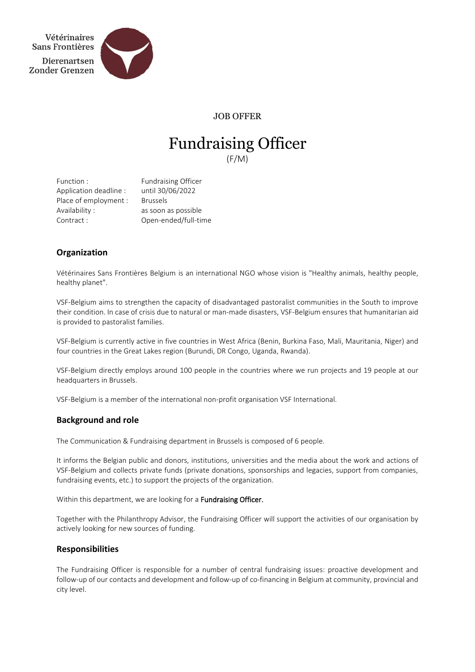

JOB OFFER

# Fundraising Officer (F/M)

Function : Fundraising Officer Application deadline : until 30/06/2022 Place of employment : Brussels Availability : as soon as possible Contract : Open-ended/full-time

# **Organization**

Vétérinaires Sans Frontières Belgium is an international NGO whose vision is "Healthy animals, healthy people, healthy planet".

VSF-Belgium aims to strengthen the capacity of disadvantaged pastoralist communities in the South to improve their condition. In case of crisis due to natural or man-made disasters, VSF-Belgium ensures that humanitarian aid is provided to pastoralist families.

VSF-Belgium is currently active in five countries in West Africa (Benin, Burkina Faso, Mali, Mauritania, Niger) and four countries in the Great Lakes region (Burundi, DR Congo, Uganda, Rwanda).

VSF-Belgium directly employs around 100 people in the countries where we run projects and 19 people at our headquarters in Brussels.

VSF-Belgium is a member of the international non-profit organisation VSF International.

# **Background and role**

The Communication & Fundraising department in Brussels is composed of 6 people.

It informs the Belgian public and donors, institutions, universities and the media about the work and actions of VSF-Belgium and collects private funds (private donations, sponsorships and legacies, support from companies, fundraising events, etc.) to support the projects of the organization.

Within this department, we are looking for a Fundraising Officer.

Together with the Philanthropy Advisor, the Fundraising Officer will support the activities of our organisation by actively looking for new sources of funding.

# **Responsibilities**

The Fundraising Officer is responsible for a number of central fundraising issues: proactive development and follow-up of our contacts and development and follow-up of co-financing in Belgium at community, provincial and city level.